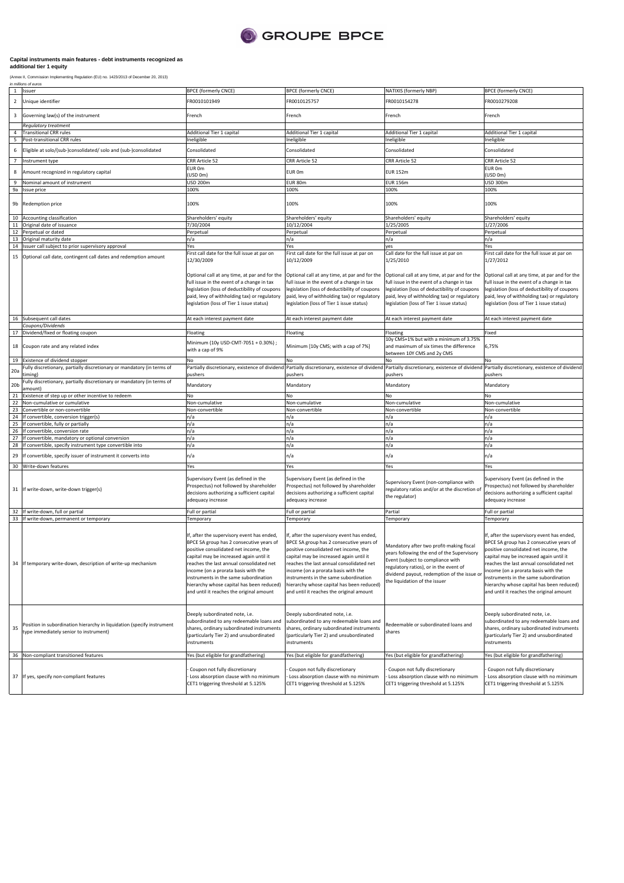

## **Capital instruments main features - debt instruments recognized as additional tier 1 equity**

(Annex II, Commission Implementing Regulation (EU) no. 1423/2013 of December 20, 2013)<br>*in millions of euros* 

|                 | 1 Issuer                                                                                                                | <b>BPCE (formerly CNCE)</b>                                                                                                                                                                                                                                                                                                                                                                   | <b>BPCE (formerly CNCE)</b>                                                                                                                                                                                                                                                                                                                                                                     | NATIXIS (formerly NBP)                                                                                                                                                                                                                                | <b>BPCE (formerly CNCE)</b>                                                                                                                                                                                                                                                                                                                                                                    |
|-----------------|-------------------------------------------------------------------------------------------------------------------------|-----------------------------------------------------------------------------------------------------------------------------------------------------------------------------------------------------------------------------------------------------------------------------------------------------------------------------------------------------------------------------------------------|-------------------------------------------------------------------------------------------------------------------------------------------------------------------------------------------------------------------------------------------------------------------------------------------------------------------------------------------------------------------------------------------------|-------------------------------------------------------------------------------------------------------------------------------------------------------------------------------------------------------------------------------------------------------|------------------------------------------------------------------------------------------------------------------------------------------------------------------------------------------------------------------------------------------------------------------------------------------------------------------------------------------------------------------------------------------------|
| $\overline{2}$  | Unique identifier                                                                                                       | FR0010101949                                                                                                                                                                                                                                                                                                                                                                                  | FR0010125757                                                                                                                                                                                                                                                                                                                                                                                    | FR0010154278                                                                                                                                                                                                                                          | FR0010279208                                                                                                                                                                                                                                                                                                                                                                                   |
| 3               | Governing law(s) of the instrument                                                                                      | French                                                                                                                                                                                                                                                                                                                                                                                        | French                                                                                                                                                                                                                                                                                                                                                                                          | French                                                                                                                                                                                                                                                | French                                                                                                                                                                                                                                                                                                                                                                                         |
|                 | Regulatory treatment                                                                                                    |                                                                                                                                                                                                                                                                                                                                                                                               |                                                                                                                                                                                                                                                                                                                                                                                                 |                                                                                                                                                                                                                                                       |                                                                                                                                                                                                                                                                                                                                                                                                |
| 4               | <b>Transitional CRR rules</b>                                                                                           | Additional Tier 1 capital                                                                                                                                                                                                                                                                                                                                                                     | Additional Tier 1 capital                                                                                                                                                                                                                                                                                                                                                                       | Additional Tier 1 capital                                                                                                                                                                                                                             | Additional Tier 1 capital                                                                                                                                                                                                                                                                                                                                                                      |
| 5               | Post-transitional CRR rules                                                                                             | Ineligible                                                                                                                                                                                                                                                                                                                                                                                    | Ineligible                                                                                                                                                                                                                                                                                                                                                                                      | Ineligible                                                                                                                                                                                                                                            | Ineligible                                                                                                                                                                                                                                                                                                                                                                                     |
| 6               | Eligible at solo/(sub-)consolidated/ solo and (sub-)consolidated                                                        | Consolidated                                                                                                                                                                                                                                                                                                                                                                                  | Consolidated                                                                                                                                                                                                                                                                                                                                                                                    | Consolidated                                                                                                                                                                                                                                          | Consolidated                                                                                                                                                                                                                                                                                                                                                                                   |
| $\overline{7}$  | Instrument type                                                                                                         | CRR Article 52                                                                                                                                                                                                                                                                                                                                                                                | CRR Article 52                                                                                                                                                                                                                                                                                                                                                                                  | CRR Article 52                                                                                                                                                                                                                                        | CRR Article 52                                                                                                                                                                                                                                                                                                                                                                                 |
|                 |                                                                                                                         | EUR 0m                                                                                                                                                                                                                                                                                                                                                                                        |                                                                                                                                                                                                                                                                                                                                                                                                 |                                                                                                                                                                                                                                                       | EUR 0m                                                                                                                                                                                                                                                                                                                                                                                         |
| 8               | Amount recognized in regulatory capital                                                                                 | USD 0m)                                                                                                                                                                                                                                                                                                                                                                                       | EUR 0m                                                                                                                                                                                                                                                                                                                                                                                          | <b>EUR 152m</b>                                                                                                                                                                                                                                       | (USD 0m)                                                                                                                                                                                                                                                                                                                                                                                       |
| 9               | Nominal amount of instrument                                                                                            | <b>USD 200m</b>                                                                                                                                                                                                                                                                                                                                                                               | EUR 80m                                                                                                                                                                                                                                                                                                                                                                                         | <b>EUR 156m</b>                                                                                                                                                                                                                                       | <b>USD 300m</b>                                                                                                                                                                                                                                                                                                                                                                                |
| 9a              | Issue price                                                                                                             | 100%                                                                                                                                                                                                                                                                                                                                                                                          | 100%                                                                                                                                                                                                                                                                                                                                                                                            | 100%                                                                                                                                                                                                                                                  | 100%                                                                                                                                                                                                                                                                                                                                                                                           |
| 9b              | Redemption price                                                                                                        | 100%                                                                                                                                                                                                                                                                                                                                                                                          | 100%                                                                                                                                                                                                                                                                                                                                                                                            | 100%                                                                                                                                                                                                                                                  | 100%                                                                                                                                                                                                                                                                                                                                                                                           |
| 10              | Accounting classification                                                                                               | Shareholders' equity                                                                                                                                                                                                                                                                                                                                                                          | Shareholders' equity                                                                                                                                                                                                                                                                                                                                                                            | Shareholders' equity                                                                                                                                                                                                                                  | Shareholders' equity                                                                                                                                                                                                                                                                                                                                                                           |
| 11              | Original date of issuance                                                                                               | 7/30/2004                                                                                                                                                                                                                                                                                                                                                                                     | 10/12/2004                                                                                                                                                                                                                                                                                                                                                                                      | 1/25/2005                                                                                                                                                                                                                                             | 1/27/2006                                                                                                                                                                                                                                                                                                                                                                                      |
|                 | 12 Perpetual or dated                                                                                                   | Perpetual                                                                                                                                                                                                                                                                                                                                                                                     | Perpetual                                                                                                                                                                                                                                                                                                                                                                                       | Perpetual                                                                                                                                                                                                                                             | Perpetual                                                                                                                                                                                                                                                                                                                                                                                      |
|                 | 13 Original maturity date                                                                                               | n/a                                                                                                                                                                                                                                                                                                                                                                                           | n/a                                                                                                                                                                                                                                                                                                                                                                                             | n/a                                                                                                                                                                                                                                                   | n/a                                                                                                                                                                                                                                                                                                                                                                                            |
| 15              | 14 Issuer call subject to prior supervisory approval<br>Optional call date, contingent call dates and redemption amount | Yes<br>First call date for the full issue at par on<br>12/30/2009                                                                                                                                                                                                                                                                                                                             | Yes<br>First call date for the full issue at par on<br>10/12/2009                                                                                                                                                                                                                                                                                                                               | yes<br>Call date for the full issue at par on<br>1/25/2010                                                                                                                                                                                            | Yes<br>First call date for the full issue at par on<br>1/27/2012                                                                                                                                                                                                                                                                                                                               |
|                 |                                                                                                                         | Optional call at any time, at par and for the<br>full issue in the event of a change in tax<br>legislation (loss of deductibility of coupons<br>paid, levy of withholding tax) or regulatory<br>egislation (loss of Tier 1 issue status)                                                                                                                                                      | Optional call at any time, at par and for the<br>full issue in the event of a change in tax<br>legislation (loss of deductibility of coupons<br>paid, levy of withholding tax) or regulatory<br>legislation (loss of Tier 1 issue status)                                                                                                                                                       | Optional call at any time, at par and for the<br>full issue in the event of a change in tax<br>legislation (loss of deductibility of coupons<br>paid, levy of withholding tax) or regulatory<br>legislation (loss of Tier 1 issue status)             | Optional call at any time, at par and for the<br>full issue in the event of a change in tax<br>legislation (loss of deductibility of coupons<br>paid, levy of withholding tax) or regulatory<br>legislation (loss of Tier 1 issue status)                                                                                                                                                      |
|                 | 16 Subsequent call dates                                                                                                | At each interest payment date                                                                                                                                                                                                                                                                                                                                                                 | At each interest payment date                                                                                                                                                                                                                                                                                                                                                                   | At each interest payment date                                                                                                                                                                                                                         | At each interest payment date                                                                                                                                                                                                                                                                                                                                                                  |
|                 | Coupons/Dividends<br>17 Dividend/fixed or floating coupon                                                               |                                                                                                                                                                                                                                                                                                                                                                                               |                                                                                                                                                                                                                                                                                                                                                                                                 |                                                                                                                                                                                                                                                       |                                                                                                                                                                                                                                                                                                                                                                                                |
|                 |                                                                                                                         | Floating                                                                                                                                                                                                                                                                                                                                                                                      | Floating                                                                                                                                                                                                                                                                                                                                                                                        | Floating<br>10y CMS+1% but with a minimum of 3.75%                                                                                                                                                                                                    | Fixed                                                                                                                                                                                                                                                                                                                                                                                          |
| 18              | Coupon rate and any related index                                                                                       | Minimum (10y USD-CMT-7051 + 0.30%);<br>with a cap of 9%                                                                                                                                                                                                                                                                                                                                       | Minimum [10y CMS; with a cap of 7%]                                                                                                                                                                                                                                                                                                                                                             | and maximum of six times the difference<br>between 10Y CMS and 2y CMS                                                                                                                                                                                 | 6,75%                                                                                                                                                                                                                                                                                                                                                                                          |
|                 | 19 Existence of dividend stopper                                                                                        | No                                                                                                                                                                                                                                                                                                                                                                                            | No                                                                                                                                                                                                                                                                                                                                                                                              | No                                                                                                                                                                                                                                                    | No                                                                                                                                                                                                                                                                                                                                                                                             |
| 20a             | Fully discretionary, partially discretionary or mandatory (in terms of<br>timing)                                       | pushers                                                                                                                                                                                                                                                                                                                                                                                       | Partially discretionary, existence of dividend Partially discretionary, existence of dividend Partially discretionary, existence of dividend Partially discretionary, existence of dividend<br>pushers                                                                                                                                                                                          | pushers                                                                                                                                                                                                                                               | pushers                                                                                                                                                                                                                                                                                                                                                                                        |
|                 |                                                                                                                         |                                                                                                                                                                                                                                                                                                                                                                                               |                                                                                                                                                                                                                                                                                                                                                                                                 |                                                                                                                                                                                                                                                       |                                                                                                                                                                                                                                                                                                                                                                                                |
| 20 <sub>b</sub> | Fully discretionary, partially discretionary or mandatory (in terms of                                                  | Mandatory                                                                                                                                                                                                                                                                                                                                                                                     | Mandatory                                                                                                                                                                                                                                                                                                                                                                                       | Mandatory                                                                                                                                                                                                                                             | Mandatory                                                                                                                                                                                                                                                                                                                                                                                      |
| 21              | amount)<br>Existence of step up or other incentive to redeem                                                            | No                                                                                                                                                                                                                                                                                                                                                                                            | No                                                                                                                                                                                                                                                                                                                                                                                              | No                                                                                                                                                                                                                                                    | No                                                                                                                                                                                                                                                                                                                                                                                             |
| 22              | Non-cumulative or cumulative                                                                                            | Non-cumulative                                                                                                                                                                                                                                                                                                                                                                                | Non-cumulative                                                                                                                                                                                                                                                                                                                                                                                  | Non-cumulative                                                                                                                                                                                                                                        | Non-cumulative                                                                                                                                                                                                                                                                                                                                                                                 |
| 23              | Convertible or non-convertible                                                                                          | Non-convertible                                                                                                                                                                                                                                                                                                                                                                               | Non-convertible                                                                                                                                                                                                                                                                                                                                                                                 | Non-convertible                                                                                                                                                                                                                                       | Non-convertible                                                                                                                                                                                                                                                                                                                                                                                |
| 24              | If convertible, conversion trigger(s)                                                                                   | n/a                                                                                                                                                                                                                                                                                                                                                                                           | n/a                                                                                                                                                                                                                                                                                                                                                                                             | n/a                                                                                                                                                                                                                                                   | n/a                                                                                                                                                                                                                                                                                                                                                                                            |
| 25              | If convertible, fully or partially                                                                                      | n/a                                                                                                                                                                                                                                                                                                                                                                                           | n/a                                                                                                                                                                                                                                                                                                                                                                                             | n/a                                                                                                                                                                                                                                                   | n/a                                                                                                                                                                                                                                                                                                                                                                                            |
| 26              | If convertible, conversion rate                                                                                         | n/a                                                                                                                                                                                                                                                                                                                                                                                           | n/a                                                                                                                                                                                                                                                                                                                                                                                             | n/a                                                                                                                                                                                                                                                   | n/a                                                                                                                                                                                                                                                                                                                                                                                            |
| 27              | If convertible, mandatory or optional conversion                                                                        | n/a                                                                                                                                                                                                                                                                                                                                                                                           | n/a                                                                                                                                                                                                                                                                                                                                                                                             | n/a                                                                                                                                                                                                                                                   | n/a                                                                                                                                                                                                                                                                                                                                                                                            |
|                 | 28 If convertible, specify instrument type convertible into                                                             | n/a                                                                                                                                                                                                                                                                                                                                                                                           | n/a                                                                                                                                                                                                                                                                                                                                                                                             | n/a                                                                                                                                                                                                                                                   | n/a                                                                                                                                                                                                                                                                                                                                                                                            |
| 29              | f convertible, specify issuer of instrument it converts into                                                            | n/a                                                                                                                                                                                                                                                                                                                                                                                           | n/a                                                                                                                                                                                                                                                                                                                                                                                             | n/a                                                                                                                                                                                                                                                   | n/a                                                                                                                                                                                                                                                                                                                                                                                            |
| 30              | Write-down features                                                                                                     | Yes                                                                                                                                                                                                                                                                                                                                                                                           | Yes                                                                                                                                                                                                                                                                                                                                                                                             | Yes                                                                                                                                                                                                                                                   | Yes                                                                                                                                                                                                                                                                                                                                                                                            |
| 31              | If write-down, write-down trigger(s)                                                                                    | Supervisory Event (as defined in the<br>Prospectus) not followed by shareholder<br>decisions authorizing a sufficient capital<br>adequacy increase                                                                                                                                                                                                                                            | Supervisory Event (as defined in the<br>Prospectus) not followed by shareholder<br>decisions authorizing a sufficient capital<br>adequacy increase                                                                                                                                                                                                                                              | Supervisory Event (non-compliance with<br>regulatory ratios and/or at the discretion of<br>the regulator)                                                                                                                                             | Supervisory Event (as defined in the<br>Prospectus) not followed by shareholder<br>decisions authorizing a sufficient capital<br>adequacy increase                                                                                                                                                                                                                                             |
| 32              | If write-down, full or partial                                                                                          | Full or partial                                                                                                                                                                                                                                                                                                                                                                               | Full or partial                                                                                                                                                                                                                                                                                                                                                                                 | Partial                                                                                                                                                                                                                                               | Full or partial                                                                                                                                                                                                                                                                                                                                                                                |
| 33              | If write-down, permanent or temporary                                                                                   | Temporary                                                                                                                                                                                                                                                                                                                                                                                     | Temporary                                                                                                                                                                                                                                                                                                                                                                                       | Temporary                                                                                                                                                                                                                                             | Temporary                                                                                                                                                                                                                                                                                                                                                                                      |
| 34              | If temporary write-down, description of write-up mechanism                                                              | If, after the supervisory event has ended,<br>BPCE SA group has 2 consecutive years of<br>positive consolidated net income, the<br>capital may be increased again until it<br>reaches the last annual consolidated net<br>ncome (on a prorata basis with the<br>nstruments in the same subordination<br>hierarchy whose capital has been reduced)<br>and until it reaches the original amount | If, after the supervisory event has ended,<br>BPCE SA group has 2 consecutive years of<br>positive consolidated net income, the<br>capital may be increased again until it<br>reaches the last annual consolidated net<br>income (on a prorata basis with the<br>instruments in the same subordination<br>hierarchy whose capital has been reduced)<br>and until it reaches the original amount | Mandatory after two profit-making fiscal<br>years following the end of the Supervisory<br>Event (subject to compliance with<br>regulatory ratios), or in the event of<br>dividend payout, redemption of the issue or<br>the liquidation of the issuer | If, after the supervisory event has ended,<br>BPCE SA group has 2 consecutive years of<br>positive consolidated net income, the<br>capital may be increased again until it<br>reaches the last annual consolidated net<br>ncome (on a prorata basis with the<br>instruments in the same subordination<br>hierarchy whose capital has been reduced)<br>and until it reaches the original amount |
| 35              | Position in subordination hierarchy in liquidation (specify instrument<br>type immediately senior to instrument)        | Deeply subordinated note, i.e.<br>subordinated to any redeemable loans and<br>shares, ordinary subordinated instruments<br>(particularly Tier 2) and unsubordinated<br>instruments                                                                                                                                                                                                            | Deeply subordinated note, i.e.<br>subordinated to any redeemable loans and<br>shares, ordinary subordinated instruments<br>(particularly Tier 2) and unsubordinated<br>instruments                                                                                                                                                                                                              | Redeemable or subordinated loans and<br>shares                                                                                                                                                                                                        | Deeply subordinated note, i.e.<br>subordinated to any redeemable loans and<br>shares, ordinary subordinated instruments<br>(particularly Tier 2) and unsubordinated<br>instruments                                                                                                                                                                                                             |
|                 | 36 Non-compliant transitioned features                                                                                  | Yes (but eligible for grandfathering)                                                                                                                                                                                                                                                                                                                                                         | Yes (but eligible for grandfathering)                                                                                                                                                                                                                                                                                                                                                           | Yes (but eligible for grandfathering)                                                                                                                                                                                                                 | Yes (but eligible for grandfathering)                                                                                                                                                                                                                                                                                                                                                          |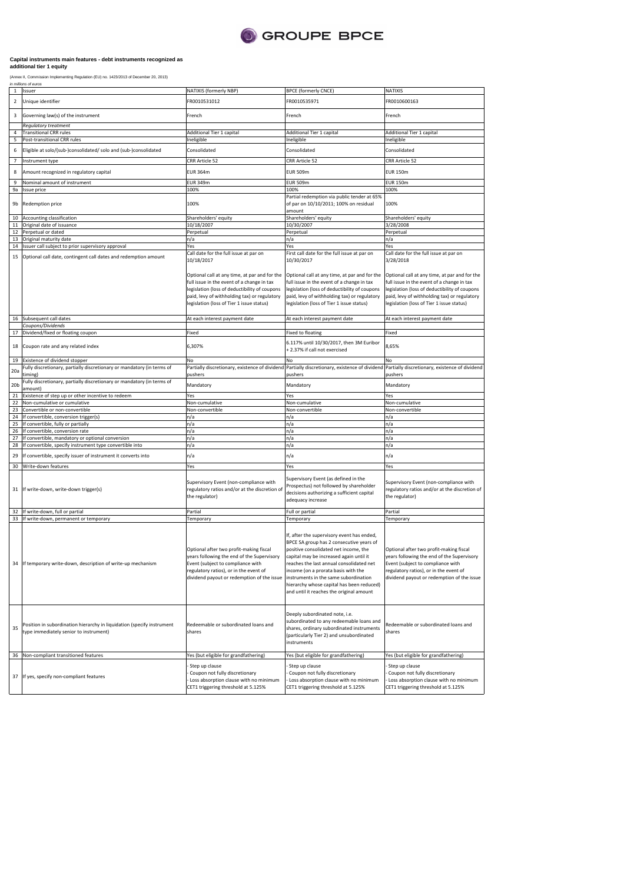

## **Capital instruments main features - debt instruments recognized as additional tier 1 equity**

(Annex II, Commission Implementing Regulation (EU) no. 1423/2013 of December 20, 2013)<br>*in millions of euros* 

| 1               | Issuer                                                                                                           | NATIXIS (formerly NBP)                                                                                                                                                                                                                    | <b>BPCE (formerly CNCE)</b>                                                                                                                                                                                                                                                                                                                                                                                  | NATIXIS                                                                                                                                                                                                                                   |
|-----------------|------------------------------------------------------------------------------------------------------------------|-------------------------------------------------------------------------------------------------------------------------------------------------------------------------------------------------------------------------------------------|--------------------------------------------------------------------------------------------------------------------------------------------------------------------------------------------------------------------------------------------------------------------------------------------------------------------------------------------------------------------------------------------------------------|-------------------------------------------------------------------------------------------------------------------------------------------------------------------------------------------------------------------------------------------|
| $\overline{2}$  | Unique identifier                                                                                                | FR0010531012                                                                                                                                                                                                                              | FR0010535971                                                                                                                                                                                                                                                                                                                                                                                                 | FR0010600163                                                                                                                                                                                                                              |
| 3               | Governing law(s) of the instrument                                                                               | French                                                                                                                                                                                                                                    | French                                                                                                                                                                                                                                                                                                                                                                                                       | French                                                                                                                                                                                                                                    |
| 4               | Regulatory treatment                                                                                             |                                                                                                                                                                                                                                           |                                                                                                                                                                                                                                                                                                                                                                                                              |                                                                                                                                                                                                                                           |
| 5               | <b>Transitional CRR rules</b><br>Post-transitional CRR rules                                                     | Additional Tier 1 capital<br>Ineligible                                                                                                                                                                                                   | Additional Tier 1 capital<br>Ineligible                                                                                                                                                                                                                                                                                                                                                                      | Additional Tier 1 capital<br>Ineligible                                                                                                                                                                                                   |
| 6               | Eligible at solo/(sub-)consolidated/ solo and (sub-)consolidated                                                 | Consolidated                                                                                                                                                                                                                              | Consolidated                                                                                                                                                                                                                                                                                                                                                                                                 | Consolidated                                                                                                                                                                                                                              |
|                 |                                                                                                                  |                                                                                                                                                                                                                                           |                                                                                                                                                                                                                                                                                                                                                                                                              |                                                                                                                                                                                                                                           |
| 7               | Instrument type                                                                                                  | CRR Article 52                                                                                                                                                                                                                            | CRR Article 52                                                                                                                                                                                                                                                                                                                                                                                               | CRR Article 52                                                                                                                                                                                                                            |
| 8               | Amount recognized in regulatory capital                                                                          | <b>EUR 364m</b>                                                                                                                                                                                                                           | <b>EUR 509m</b>                                                                                                                                                                                                                                                                                                                                                                                              | <b>EUR 150m</b>                                                                                                                                                                                                                           |
| 9               | Nominal amount of instrument                                                                                     | <b>EUR 349m</b><br>100%                                                                                                                                                                                                                   | <b>EUR 509m</b>                                                                                                                                                                                                                                                                                                                                                                                              | <b>EUR 150m</b><br>100%                                                                                                                                                                                                                   |
| 9a              | Issue price                                                                                                      |                                                                                                                                                                                                                                           | 100%<br>Partial redemption via public tender at 65%                                                                                                                                                                                                                                                                                                                                                          |                                                                                                                                                                                                                                           |
| 9b              | Redemption price                                                                                                 | 100%                                                                                                                                                                                                                                      | of par on 10/10/2011; 100% on residual<br>amount                                                                                                                                                                                                                                                                                                                                                             | 100%                                                                                                                                                                                                                                      |
|                 | 10 Accounting classification                                                                                     | Shareholders' equity                                                                                                                                                                                                                      | Shareholders' equity                                                                                                                                                                                                                                                                                                                                                                                         | Shareholders' equity                                                                                                                                                                                                                      |
| 11              | Original date of issuance                                                                                        | 10/18/2007                                                                                                                                                                                                                                | 10/30/2007                                                                                                                                                                                                                                                                                                                                                                                                   | 3/28/2008                                                                                                                                                                                                                                 |
| 12              | Perpetual or dated<br>13 Original maturity date                                                                  | Perpetual<br>n/a                                                                                                                                                                                                                          | Perpetual<br>n/a                                                                                                                                                                                                                                                                                                                                                                                             | Perpetual<br>n/a                                                                                                                                                                                                                          |
|                 | 14 Issuer call subject to prior supervisory approval                                                             | Yes                                                                                                                                                                                                                                       | Yes                                                                                                                                                                                                                                                                                                                                                                                                          | Yes                                                                                                                                                                                                                                       |
| 15              | Optional call date, contingent call dates and redemption amount                                                  | Call date for the full issue at par on<br>10/18/2017                                                                                                                                                                                      | First call date for the full issue at par on<br>10/30/2017                                                                                                                                                                                                                                                                                                                                                   | Call date for the full issue at par on<br>3/28/2018                                                                                                                                                                                       |
|                 |                                                                                                                  | Optional call at any time, at par and for the<br>full issue in the event of a change in tax<br>legislation (loss of deductibility of coupons<br>paid, levy of withholding tax) or regulatory<br>legislation (loss of Tier 1 issue status) | Optional call at any time, at par and for the<br>full issue in the event of a change in tax<br>legislation (loss of deductibility of coupons<br>paid, levy of withholding tax) or regulatory<br>legislation (loss of Tier 1 issue status)                                                                                                                                                                    | Optional call at any time, at par and for the<br>full issue in the event of a change in tax<br>legislation (loss of deductibility of coupons<br>paid, levy of withholding tax) or regulatory<br>legislation (loss of Tier 1 issue status) |
|                 | 16 Subsequent call dates                                                                                         | At each interest payment date                                                                                                                                                                                                             | At each interest payment date                                                                                                                                                                                                                                                                                                                                                                                | At each interest payment date                                                                                                                                                                                                             |
|                 | Coupons/Dividends                                                                                                |                                                                                                                                                                                                                                           |                                                                                                                                                                                                                                                                                                                                                                                                              |                                                                                                                                                                                                                                           |
| 17              | Dividend/fixed or floating coupon                                                                                | Fixed                                                                                                                                                                                                                                     | <b>Fixed to floating</b>                                                                                                                                                                                                                                                                                                                                                                                     | Fixed                                                                                                                                                                                                                                     |
| 18              | Coupon rate and any related index                                                                                | 6,307%                                                                                                                                                                                                                                    | 6.117% until 10/30/2017, then 3M Euribor<br>+ 2.37% if call not exercised                                                                                                                                                                                                                                                                                                                                    | 8,65%                                                                                                                                                                                                                                     |
| 19              | Existence of dividend stopper                                                                                    | No                                                                                                                                                                                                                                        | No                                                                                                                                                                                                                                                                                                                                                                                                           | No                                                                                                                                                                                                                                        |
| 20a             | Fully discretionary, partially discretionary or mandatory (in terms of<br>timing)                                | Partially discretionary, existence of dividend                                                                                                                                                                                            | Partially discretionary, existence of dividend                                                                                                                                                                                                                                                                                                                                                               | Partially discretionary, existence of dividend                                                                                                                                                                                            |
| 20 <sub>b</sub> | Fully discretionary, partially discretionary or mandatory (in terms of<br>amount)                                | pushers<br>Mandatory                                                                                                                                                                                                                      | pushers<br>Mandatory                                                                                                                                                                                                                                                                                                                                                                                         | pushers<br>Mandatory                                                                                                                                                                                                                      |
| 21              | Existence of step up or other incentive to redeem                                                                | Yes                                                                                                                                                                                                                                       | Yes                                                                                                                                                                                                                                                                                                                                                                                                          | Yes                                                                                                                                                                                                                                       |
| 22              | Non-cumulative or cumulative                                                                                     | Non-cumulative                                                                                                                                                                                                                            | Non-cumulative                                                                                                                                                                                                                                                                                                                                                                                               | Non-cumulative                                                                                                                                                                                                                            |
| 23<br>24        | Convertible or non-convertible<br>If convertible, conversion trigger(s)                                          | Non-convertible<br>n/a                                                                                                                                                                                                                    | Non-convertible<br>n/a                                                                                                                                                                                                                                                                                                                                                                                       | Non-convertible<br>n/a                                                                                                                                                                                                                    |
| 25              | If convertible, fully or partially                                                                               | n/a                                                                                                                                                                                                                                       | n/a                                                                                                                                                                                                                                                                                                                                                                                                          | n/a                                                                                                                                                                                                                                       |
|                 | 26 If convertible, conversion rate                                                                               | n/a                                                                                                                                                                                                                                       | n/a                                                                                                                                                                                                                                                                                                                                                                                                          | n/a                                                                                                                                                                                                                                       |
| 27              | If convertible, mandatory or optional conversion                                                                 | n/a                                                                                                                                                                                                                                       | n/a                                                                                                                                                                                                                                                                                                                                                                                                          | n/a                                                                                                                                                                                                                                       |
| 28              | If convertible, specify instrument type convertible into                                                         | n/a                                                                                                                                                                                                                                       | n/a                                                                                                                                                                                                                                                                                                                                                                                                          | n/a                                                                                                                                                                                                                                       |
| 29              | If convertible, specify issuer of instrument it converts into                                                    | n/a                                                                                                                                                                                                                                       | n/a                                                                                                                                                                                                                                                                                                                                                                                                          | n/a                                                                                                                                                                                                                                       |
|                 | 30 Write-down features                                                                                           | Yes                                                                                                                                                                                                                                       | Yes                                                                                                                                                                                                                                                                                                                                                                                                          | Yes                                                                                                                                                                                                                                       |
|                 | 31 If write-down, write-down trigger(s)                                                                          | Supervisory Event (non-compliance with<br>regulatory ratios and/or at the discretion of<br>the regulator)                                                                                                                                 | Supervisory Event (as defined in the<br>Prospectus) not followed by shareholder<br>decisions authorizing a sufficient capital<br>adequacy increase                                                                                                                                                                                                                                                           | Supervisory Event (non-compliance with<br>regulatory ratios and/or at the discretion of<br>the regulator)                                                                                                                                 |
|                 | 32 If write-down, full or partial                                                                                | Partial                                                                                                                                                                                                                                   | Full or partial                                                                                                                                                                                                                                                                                                                                                                                              | Partial                                                                                                                                                                                                                                   |
| 34              | 33 If write-down, permanent or temporary<br>If temporary write-down, description of write-up mechanism           | Temporary<br>Optional after two profit-making fiscal<br>years following the end of the Supervisory<br>Event (subject to compliance with<br>regulatory ratios), or in the event of<br>dividend payout or redemption of the issue           | Temporary<br>If, after the supervisory event has ended,<br>BPCE SA group has 2 consecutive years of<br>positive consolidated net income, the<br>capital may be increased again until it<br>reaches the last annual consolidated net<br>income (on a prorata basis with the<br>instruments in the same subordination<br>hierarchy whose capital has been reduced)<br>and until it reaches the original amount | Temporary<br>Optional after two profit-making fiscal<br>ears following the end of the Supervisory/<br>Event (subject to compliance with<br>regulatory ratios), or in the event of<br>dividend payout or redemption of the issue           |
| 35              | Position in subordination hierarchy in liquidation (specify instrument<br>type immediately senior to instrument) | Redeemable or subordinated loans and<br>shares                                                                                                                                                                                            | Deeply subordinated note, i.e.<br>subordinated to any redeemable loans and<br>shares, ordinary subordinated instruments<br>(particularly Tier 2) and unsubordinated<br>instruments                                                                                                                                                                                                                           | Redeemable or subordinated loans and<br>shares                                                                                                                                                                                            |
|                 | 36 Non-compliant transitioned features                                                                           | Yes (but eligible for grandfathering)                                                                                                                                                                                                     | Yes (but eligible for grandfathering)                                                                                                                                                                                                                                                                                                                                                                        | Yes (but eligible for grandfathering)                                                                                                                                                                                                     |
| 37              | If yes, specify non-compliant features                                                                           | Step up clause<br>Coupon not fully discretionary<br>Loss absorption clause with no minimum<br>CET1 triggering threshold at 5.125%                                                                                                         | Step up clause<br>Coupon not fully discretionary<br>Loss absorption clause with no minimum<br>CET1 triggering threshold at 5.125%                                                                                                                                                                                                                                                                            | Step up clause<br>Coupon not fully discretionary<br>Loss absorption clause with no minimum<br>CET1 triggering threshold at 5.125%                                                                                                         |